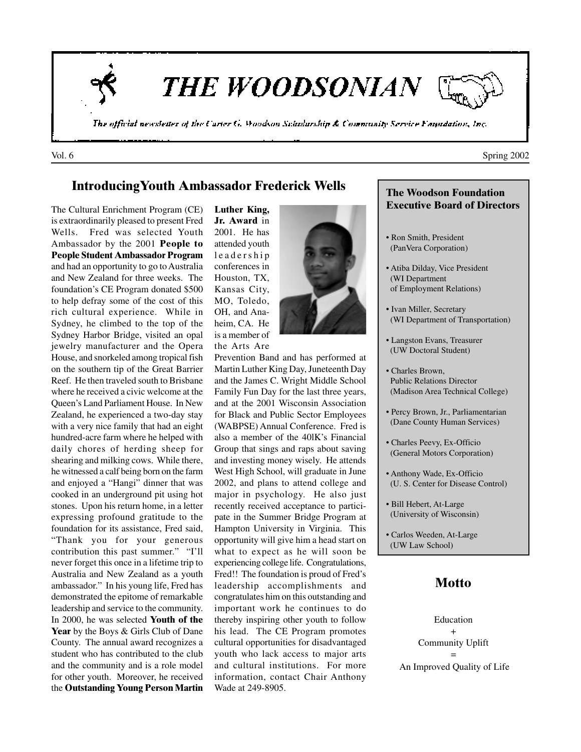

**THE WOODSONIAN** 

The official newsletter of the Carter G. Woodson Schularship & Community Service Fanudation, Inc.

### **IntroducingYouth Ambassador Frederick Wells**

The Cultural Enrichment Program (CE) is extraordinarily pleased to present Fred Wells. Fred was selected Youth Ambassador by the 2001 **People to People Student Ambassador Program** and had an opportunity to go to Australia and New Zealand for three weeks. The foundation's CE Program donated \$500 to help defray some of the cost of this rich cultural experience. While in Sydney, he climbed to the top of the Sydney Harbor Bridge, visited an opal jewelry manufacturer and the Opera House, and snorkeled among tropical fish on the southern tip of the Great Barrier Reef. He then traveled south to Brisbane where he received a civic welcome at the Queen's Land Parliament House. In New Zealand, he experienced a two-day stay with a very nice family that had an eight hundred-acre farm where he helped with daily chores of herding sheep for shearing and milking cows. While there, he witnessed a calf being born on the farm and enjoyed a "Hangi" dinner that was cooked in an underground pit using hot stones. Upon his return home, in a letter expressing profound gratitude to the foundation for its assistance, Fred said, "Thank you for your generous contribution this past summer." "I'll never forget this once in a lifetime trip to Australia and New Zealand as a youth ambassador." In his young life, Fred has demonstrated the epitome of remarkable leadership and service to the community. In 2000, he was selected **Youth of the** Year by the Boys & Girls Club of Dane County. The annual award recognizes a student who has contributed to the club and the community and is a role model for other youth. Moreover, he received the **Outstanding Young Person Martin**

**Luther King, Jr. Award** in 2001. He has attended youth leadership conferences in Houston, TX, Kansas City, MO, Toledo, OH, and Anaheim, CA. He is a member of the Arts Are



Prevention Band and has performed at Martin Luther King Day, Juneteenth Day and the James C. Wright Middle School Family Fun Day for the last three years, and at the 2001 Wisconsin Association for Black and Public Sector Employees (WABPSE) Annual Conference. Fred is also a member of the 40lK's Financial Group that sings and raps about saving and investing money wisely. He attends West High School, will graduate in June 2002, and plans to attend college and major in psychology. He also just recently received acceptance to participate in the Summer Bridge Program at Hampton University in Virginia. This opportunity will give him a head start on what to expect as he will soon be experiencing college life. Congratulations, Fred!! The foundation is proud of Fred's leadership accomplishments and congratulates him on this outstanding and important work he continues to do thereby inspiring other youth to follow his lead. The CE Program promotes cultural opportunities for disadvantaged youth who lack access to major arts and cultural institutions. For more information, contact Chair Anthony Wade at 249-8905.

#### **The Woodson Foundation Executive Board of Directors**

- Ron Smith, President (PanVera Corporation)
- Atiba Dilday, Vice President (WI Department of Employment Relations)
- Ivan Miller, Secretary (WI Department of Transportation)
- Langston Evans, Treasurer (UW Doctoral Student)
- Charles Brown, Public Relations Director (Madison Area Technical College)
- Percy Brown, Jr., Parliamentarian (Dane County Human Services)
- Charles Peevy, Ex-Officio (General Motors Corporation)
- Anthony Wade, Ex-Officio (U. S. Center for Disease Control)
- Bill Hebert, At-Large (University of Wisconsin)
- Carlos Weeden, At-Large (UW Law School)

## **Motto**

Education + Community Uplift = An Improved Quality of Life

Vol. 6 Spring 2002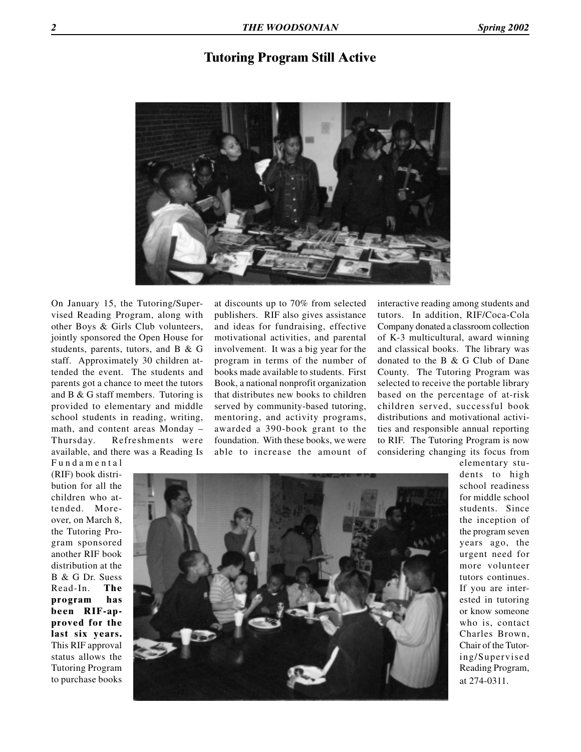### **Tutoring Program Still Active**



On January 15, the Tutoring/Supervised Reading Program, along with other Boys & Girls Club volunteers, jointly sponsored the Open House for students, parents, tutors, and B & G staff. Approximately 30 children attended the event. The students and parents got a chance to meet the tutors and B & G staff members. Tutoring is provided to elementary and middle school students in reading, writing, math, and content areas Monday – Thursday. Refreshments were available, and there was a Reading Is

at discounts up to 70% from selected publishers. RIF also gives assistance and ideas for fundraising, effective motivational activities, and parental involvement. It was a big year for the program in terms of the number of books made available to students. First Book, a national nonprofit organization that distributes new books to children served by community-based tutoring, mentoring, and activity programs, awarded a 390-book grant to the foundation. With these books, we were able to increase the amount of interactive reading among students and tutors. In addition, RIF/Coca-Cola Company donated a classroom collection of K-3 multicultural, award winning and classical books. The library was donated to the B & G Club of Dane County. The Tutoring Program was selected to receive the portable library based on the percentage of at-risk children served, successful book distributions and motivational activities and responsible annual reporting to RIF. The Tutoring Program is now considering changing its focus from

Fundamental (RIF) book distribution for all the children who attended. Moreover, on March 8, the Tutoring Program sponsored another RIF book distribution at the B & G Dr. Suess Read-In. **The program has been RIF-approved for the last six years.** This RIF approval status allows the Tutoring Program to purchase books



elementary students to high school readiness for middle school students. Since the inception of the program seven years ago, the urgent need for more volunteer tutors continues. If you are interested in tutoring or know someone who is, contact Charles Brown, Chair of the Tutoring/Supervised Reading Program, at 274-0311.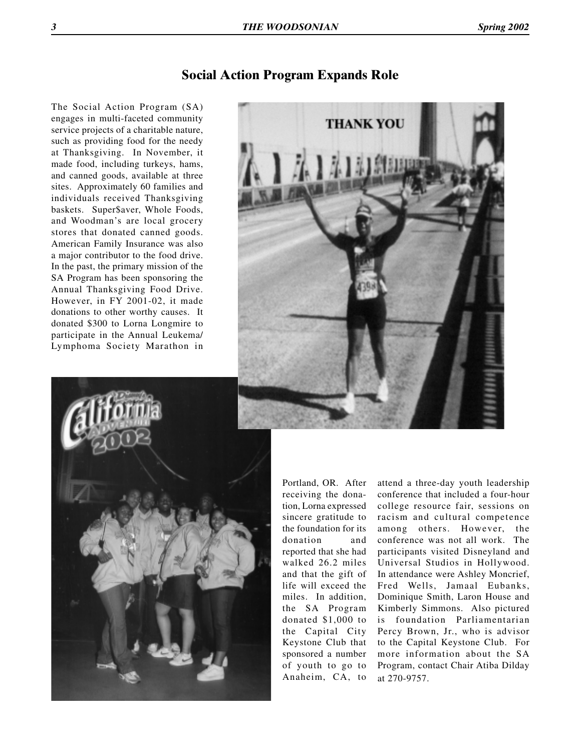# **Social Action Program Expands Role**

The Social Action Program (SA) engages in multi-faceted community service projects of a charitable nature, such as providing food for the needy at Thanksgiving. In November, it made food, including turkeys, hams, and canned goods, available at three sites. Approximately 60 families and individuals received Thanksgiving baskets. Super\$aver, Whole Foods, and Woodman's are local grocery stores that donated canned goods. American Family Insurance was also a major contributor to the food drive. In the past, the primary mission of the SA Program has been sponsoring the Annual Thanksgiving Food Drive. However, in FY 2001-02, it made donations to other worthy causes. It donated \$300 to Lorna Longmire to participate in the Annual Leukema/ Lymphoma Society Marathon in





Portland, OR. After receiving the donation, Lorna expressed sincere gratitude to the foundation for its donation and reported that she had walked 26.2 miles and that the gift of life will exceed the miles. In addition, the SA Program donated \$1,000 to the Capital City Keystone Club that sponsored a number of youth to go to Anaheim, CA, to

attend a three-day youth leadership conference that included a four-hour college resource fair, sessions on racism and cultural competence among others. However, the conference was not all work. The participants visited Disneyland and Universal Studios in Hollywood. In attendance were Ashley Moncrief, Fred Wells, Jamaal Eubanks, Dominique Smith, Laron House and Kimberly Simmons. Also pictured is foundation Parliamentarian Percy Brown, Jr., who is advisor to the Capital Keystone Club. For more information about the SA Program, contact Chair Atiba Dilday at 270-9757.